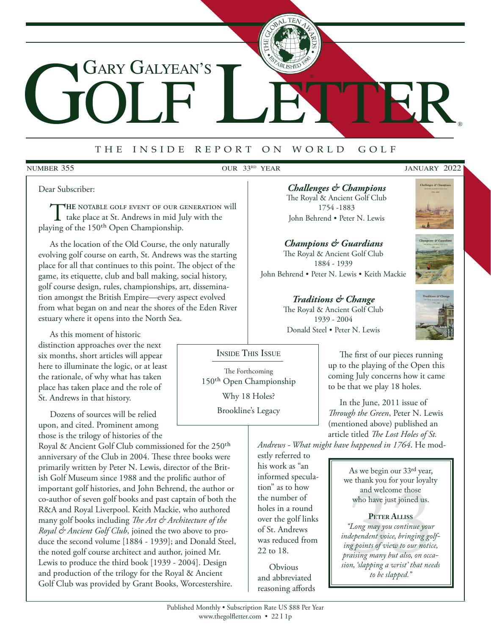# GOLF LETTER Gary Galyean's

# <sup>t</sup> <sup>h</sup> e i <sup>n</sup> <sup>s</sup> <sup>i</sup> <sup>d</sup> e r <sup>e</sup> <sup>p</sup> <sup>o</sup> <sup>r</sup> t o n w <sup>o</sup> <sup>r</sup> <sup>l</sup> d g <sup>o</sup> <sup>l</sup> <sup>f</sup>

#### **NUMBER 355**

#### OUR 33<sup>RD</sup> YEAR JANUARY 2022

®

Dear Subscriber:

THE NOTABLE GOLF EVENT OF OUR GENERATION will<br>take place at St. Andrews in mid July with the<br>tring of the 150<sup>th</sup> Open Championskin playing of the 150th Open Championship.

As the location of the Old Course, the only naturally evolving golf course on earth, St. Andrews was the starting place for all that continues to this point. The object of the game, its etiquette, club and ball making, social history, golf course design, rules, championships, art, dissemination amongst the British Empire—every aspect evolved from what began on and near the shores of the Eden River estuary where it opens into the North Sea.

As this moment of historic distinction approaches over the next six months, short articles will appear here to illuminate the logic, or at least the rationale, of why what has taken place has taken place and the role of St. Andrews in that history.

Dozens of sources will be relied upon, and cited. Prominent among those is the trilogy of histories of the

Royal & Ancient Golf Club commissioned for the 250th anniversary of the Club in 2004. These three books were primarily written by Peter N. Lewis, director of the British Golf Museum since 1988 and the prolific author of important golf histories, and John Behrend, the author or co-author of seven golf books and past captain of both the R&A and Royal Liverpool. Keith Mackie, who authored many golf books including *The Art & Architecture of the Royal & Ancient Golf Club*, joined the two above to produce the second volume [1884 - 1939]; and Donald Steel, the noted golf course architect and author, joined Mr. Lewis to produce the third book [1939 - 2004]. Design and production of the trilogy for the Royal & Ancient Golf Club was provided by Grant Books, Worcestershire.

*Challenges & Champions* The Royal & Ancient Golf Club 1754 -1883 John Behrend • Peter N. Lewis

# *Champions & Guardians* The Royal & Ancient Golf Club 1884 - 1939

John Behrend • Peter N. Lewis • Keith Mackie

#### *Traditions & Change*

The Royal & Ancient Golf Club 1939 - 2004





Donald Steel • Peter N. Lewis

# Inside This Issue

The Forthcoming 150th Open Championship Why 18 Holes? Brookline's Legacy

The first of our pieces running up to the playing of the Open this coming July concerns how it came to be that we play 18 holes.

In the June, 2011 issue of *Through the Green*, Peter N. Lewis (mentioned above) published an article titled *The Lost Holes of St.* 

*Andrews - What might have happened in 1764*. He mod-

estly referred to his work as "an informed speculation" as to how the number of holes in a round over the golf links of St. Andrews was reduced from 22 to 18.

Obvious and abbreviated reasoning affords

As we begin our 33rd year, we thank you for your loyalty and welcome those who have just joined us.

**Peter Alliss** *"Long may you continue your independent voice, bringing golfing points of view to our notice, praising many but also, on occasion, 'slapping a wrist' that needs to be slapped."* WHO Have just joint<br>
PETER ALLISS<br>
"Long may you continue your<br>
dependent voice, bringing go,<br>
mg points of view to our notic<br>
raising many but also, on occa<br>
on, 'slapping a wrist' that nee<br>
to be slapped."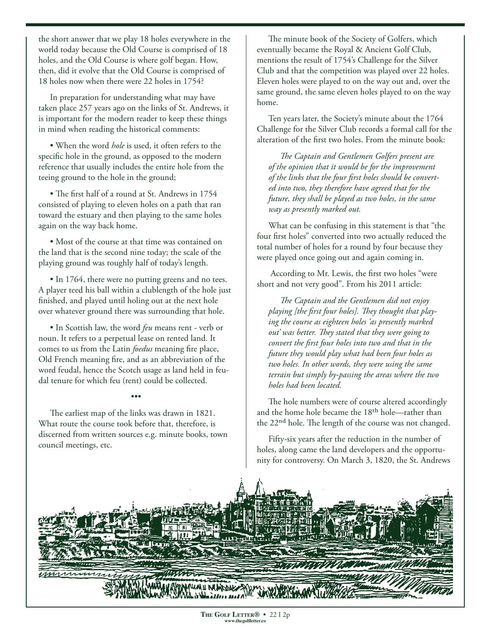the short answer that we play 18 holes everywhere in the world today because the Old Course is comprised of 18 holes, and the Old Course is where golf began. How, then, did it evolve that the Old Course is comprised of 18 holes now when there were 22 holes in 1754?

In preparation for understanding what may have taken place 257 years ago on the links of St. Andrews, it is important for the modern reader to keep these things in mind when reading the historical comments:

• When the word *hole* is used, it often refers to the specific hole in the ground, as opposed to the modern reference that usually includes the entire hole from the teeing ground to the hole in the ground;

• The first half of a round at St. Andrews in 1754 consisted of playing to eleven holes on a path that ran toward the estuary and then playing to the same holes again on the way back home.

• Most of the course at that time was contained on the land that is the second nine today; the scale of the playing ground was roughly half of today's length.

• In 1764, there were no putting greens and no tees. A player teed his ball within a clublength of the hole just finished, and played until holing out at the next hole over whatever ground there was surrounding that hole.

• In Scottish law, the word *feu* means rent - verb or noun. It refers to a perpetual lease on rented land. It comes to us from the Latin *foedus* meaning fire place, Old French meaning fire, and as an abbreviation of the word feudal, hence the Scotch usage as land held in feudal tenure for which feu (rent) could be collected.

#### •••

The earliest map of the links was drawn in 1821. What route the course took before that, therefore, is discerned from written sources e.g. minute books, town council meetings, etc.

The minute book of the Society of Golfers, which eventually became the Royal & Ancient Golf Club, mentions the result of 1754's Challenge for the Silver Club and that the competition was played over 22 holes. Eleven holes were played to on the way out and, over the same ground, the same eleven holes played to on the way home.

Ten years later, the Society's minute about the 1764 Challenge for the Silver Club records a formal call for the alteration of the first two holes. From the minute book:

*The Captain and Gentlemen Golfers present are of the opinion that it would be for the improvement of the links that the four first holes should be converted into two, they therefore have agreed that for the future, they shall be played as two holes, in the same way as presently marked out.*

What can be confusing in this statement is that "the four first holes" converted into two actually reduced the total number of holes for a round by four because they were played once going out and again coming in.

 According to Mr. Lewis, the first two holes "were short and not very good". From his 2011 article:

*The Captain and the Gentlemen did not enjoy playing [the first four holes]. They thought that playing the course as eighteen holes 'as presently marked out' was better. They stated that they were going to convert the first four holes into two and that in the future they would play what had been four holes as two holes. In other words, they were using the same terrain but simply by-passing the areas where the two holes had been located.*

The hole numbers were of course altered accordingly and the home hole became the 18th hole—rather than the 22nd hole. The length of the course was not changed.

Fifty-six years after the reduction in the number of holes, along came the land developers and the opportunity for controversy. On March 3, 1820, the St. Andrews

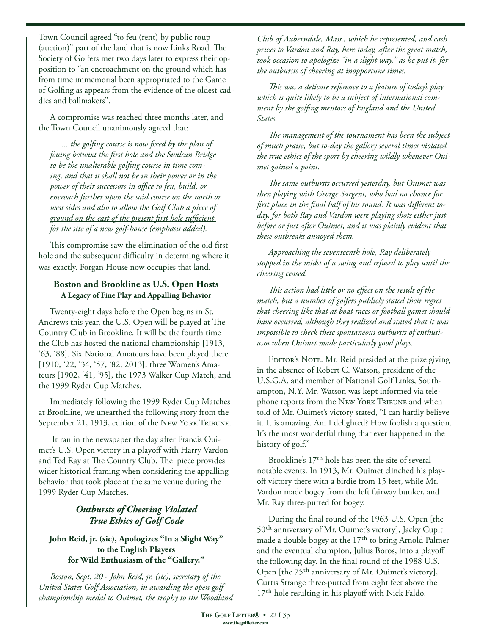Town Council agreed "to feu (rent) by public roup (auction)" part of the land that is now Links Road. The Society of Golfers met two days later to express their opposition to "an encroachment on the ground which has from time immemorial been appropriated to the Game of Golfing as appears from the evidence of the oldest caddies and ballmakers".

A compromise was reached three months later, and the Town Council unanimously agreed that:

*... the golfing course is now fixed by the plan of feuing betwixt the first hole and the Swilcan Bridge to be the unalterable golfing course in time coming, and that it shall not be in their power or in the power of their successors in office to feu, build, or encroach further upon the said course on the north or west sides and also to allow the Golf Club a piece of ground on the east of the present first hole sufficient for the site of a new golf-house (emphasis added).* 

This compromise saw the elimination of the old first hole and the subsequent difficulty in determing where it was exactly. Forgan House now occupies that land.

### **Boston and Brookline as U.S. Open Hosts A Legacy of Fine Play and Appalling Behavior**

Twenty-eight days before the Open begins in St. Andrews this year, the U.S. Open will be played at The Country Club in Brookline. It will be the fourth time the Club has hosted the national championship [1913, '63, '88]. Six National Amateurs have been played there [1910, '22, '34, '57, '82, 2013], three Women's Amateurs [1902, '41, '95], the 1973 Walker Cup Match, and the 1999 Ryder Cup Matches.

Immediately following the 1999 Ryder Cup Matches at Brookline, we unearthed the following story from the September 21, 1913, edition of the New York Tribune.

 It ran in the newspaper the day after Francis Ouimet's U.S. Open victory in a playoff with Harry Vardon and Ted Ray at The Country Club. The piece provides wider historical framing when considering the appalling behavior that took place at the same venue during the 1999 Ryder Cup Matches.

# *Outbursts of Cheering Violated True Ethics of Golf Code*

#### **John Reid, jr. (sic), Apologizes "In a Slight Way" to the English Players for Wild Enthusiasm of the "Gallery."**

*Boston, Sept. 20 - John Reid, jr. (sic), secretary of the United States Golf Association, in awarding the open golf championship medal to Ouimet, the trophy to the Woodland* 

*Club of Auberndale, Mass., which he represented, and cash prizes to Vardon and Ray, here today, after the great match, took occasion to apologize "in a slight way," as he put it, for the outbursts of cheering at inopportune times.*

*This was a delicate reference to a feature of today's play which is quite likely to be a subject of international comment by the golfing mentors of England and the United States.* 

*The management of the tournament has been the subject of much praise, but to-day the gallery several times violated the true ethics of the sport by cheering wildly whenever Ouimet gained a point.*

*The same outbursts occurred yesterday, but Ouimet was then playing with George Sargent, who had no chance for first place in the final half of his round. It was different today, for both Ray and Vardon were playing shots either just before or just after Ouimet, and it was plainly evident that these outbreaks annoyed them.*

*Approaching the seventeenth hole, Ray deliberately stopped in the midst of a swing and refused to play until the cheering ceased.*

*This action had little or no effect on the result of the match, but a number of golfers publicly stated their regret that cheering like that at boat races or football games should have occurred, although they realized and stated that it was impossible to check these spontaneous outbursts of enthusiasm when Ouimet made particularly good plays.*

EDITOR'S NOTE: Mr. Reid presided at the prize giving in the absence of Robert C. Watson, president of the U.S.G.A. and member of National Golf Links, Southampton, N.Y. Mr. Watson was kept informed via telephone reports from the New York TRIBUNE and when told of Mr. Ouimet's victory stated, "I can hardly believe it. It is amazing. Am I delighted? How foolish a question. It's the most wonderful thing that ever happened in the history of golf."

Brookline's 17th hole has been the site of several notable events. In 1913, Mr. Ouimet clinched his playoff victory there with a birdie from 15 feet, while Mr. Vardon made bogey from the left fairway bunker, and Mr. Ray three-putted for bogey.

During the final round of the 1963 U.S. Open [the 50th anniversary of Mr. Ouimet's victory], Jacky Cupit made a double bogey at the  $17<sup>th</sup>$  to bring Arnold Palmer and the eventual champion, Julius Boros, into a playoff the following day. In the final round of the 1988 U.S. Open [the 75<sup>th</sup> anniversary of Mr. Ouimet's victory], Curtis Strange three-putted from eight feet above the 17<sup>th</sup> hole resulting in his playoff with Nick Faldo.